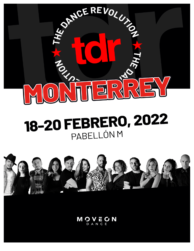

# 18-20 FEBRERO, 2022 PABELLÓN M



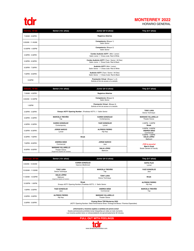

### **MONTERREY 2022**

HORARIO GENERAL

| Viernes, 18 feb  | Senior (13+ años) | Junior (8-12 años)                                                                        | Tiny (5-7 años) |
|------------------|-------------------|-------------------------------------------------------------------------------------------|-----------------|
| 7:30AM - 6:00PM  |                   | <b>Registros Abiertos</b>                                                                 |                 |
| 8:30AM - 11:45AM |                   | Competencia (Bloque 1)<br>Salón Senior                                                    |                 |
| 12:00PM - 4:30PM |                   | Competencia (Bloque 2)<br>Salón Senior                                                    |                 |
| 4:30PM - 5:30PM  |                   | Combo Audición AOTY (Mini / Junior)<br>Salón Junior // Dress code: Red & White            |                 |
| 5:30PM - 6:30PM  |                   | Combo Audición AOTY (Teen / Senior / All Star)<br>Salón Junior // Dress Code: Red & Black |                 |
| 6:30PM - 7:30PM  |                   | Audición AOTY (Mini / Junior)<br>Salón Senior // Dress code: Red & White                  |                 |
| 7:30PM - 9:00PM  |                   | Audición AOTY (Teen / Senior / All Star)<br>Salón Senior // Dress Code: Red & Black       |                 |
| 9:30PM           |                   | Premiación Virtual (Bloque 1 y 2)<br>Solicita el link de acceso a tu estudio              |                 |

| Sábado, 19 feb   | Senior (13+ años)                                                                    | Junior (8-12 años)                                                       | Tiny (5-7 años)                                     |  |
|------------------|--------------------------------------------------------------------------------------|--------------------------------------------------------------------------|-----------------------------------------------------|--|
| 7:30AM - 4:00PM  |                                                                                      | <b>Registros Abiertos</b>                                                |                                                     |  |
| 8:00AM - 12:30PM |                                                                                      | Competencia (Bloque 3)<br>Salón Senior                                   |                                                     |  |
| 1:00PM           |                                                                                      | Premiación Virtual (Bloque 3)<br>Solicita el link de acceso a tu estudio |                                                     |  |
| 2:30PM - 3:30PM  | Ensayo AOTY Opening Number (Finalistas AOTY) // Salón Senior                         |                                                                          | <b>TONY LARA</b><br>Dance Technique                 |  |
| 3:30PM - 4:30PM  | <b>MARCELA TREVIÑO</b><br>Tap                                                        | <b>KAREN GONZÁLEZ</b><br>Contemporary                                    | <b>MARIANO VILLARELLO</b><br><b>Theater Dance</b>   |  |
| 4:30PM - 5:30PM  | <b>KAREN GONZÁLEZ</b><br>Contemporary                                                | YAZZ GONZÁLEZ<br>Lyrical                                                 | 4:30PM - 5:00PM<br><b>Break</b>                     |  |
| 5:30PM - 6:30PM  | <b>JORGE NARCIO</b><br>Lyrical                                                       | <b>ALFREDO FIERRO</b><br>Hip Hop                                         | 5:00PM - 6:00PM<br><b>ANDREA BÁEZ</b><br>Commercial |  |
| 6:30PM - 7:00PM  | <b>Break</b>                                                                         |                                                                          | 6:00PM - 7:00PM<br><b>DALIA LÓPEZ</b><br>Ballroom   |  |
| 7:00PM - 8:00PM  | <b>ANDREA BÁEZ</b><br>Commercial                                                     | <b>JORGE NARCIO</b><br>Jazz                                              | :TDR te escucha!<br><b>Meet &amp; Greet</b>         |  |
| 8:00PM - 9:00PM  | <b>MARIANO VILLARELLO</b><br><b>Theater Dance</b><br>(Sugerimos Zapatos de Carácter) | <b>DALIA LÓPEZ</b><br>Ballroom                                           | Studio Owners & Faculty                             |  |

| Domingo, 20 feb   | Senior (13+ años)                                                                                                               | Junior (8-12 años)                                | Tiny (5-7 años)                  |  |
|-------------------|---------------------------------------------------------------------------------------------------------------------------------|---------------------------------------------------|----------------------------------|--|
| 9:00AM - 10:00AM  | <b>KAREN GONZÁLEZ</b><br>Improve (Multinivel)                                                                                   |                                                   | SOFÍA FILIO<br>Lyrical           |  |
| 10:00AM - 11:00AM | <b>MARCELA TREVIÑO</b><br><b>TONY LARA</b><br>Dance Technique<br>Tap                                                            |                                                   | YAZZ GONZÁLEZ<br>Jazz            |  |
| 11:00AM - 12:00PM | <b>DALIA LÓPEZ</b><br>Ballroom<br>(Sugerimos Zapatos de Carácter)                                                               | <b>TONY LARA</b><br>Dance Technique               | <b>Break</b>                     |  |
| 12:00PM - 1:00PM  | <b>Break</b><br>Ensayo AOTY Opening Number (Finalistas AOTY) // Salón Senior                                                    |                                                   | <b>ALFREDO FIERRO</b><br>Hip Hop |  |
| 1:00PM - 2:00PM   | YAZZ GONZÁLEZ<br><b>ANDREA BÁEZ</b><br>Jazz<br>Commercial                                                                       |                                                   | <b>MARCELA TREVIÑO</b><br>Tap    |  |
| 2:00PM - 3:00PM   | <b>ALFREDO FIERRO</b><br>Hip Hop                                                                                                | <b>MARIANO VILLARELLO</b><br><b>Theater Dance</b> |                                  |  |
| 3:30PM - 5:00PM   | <b>Closing Show TDR Monterrey 2022</b><br>(AOTY Opening Number / Best Performance Show / Entrega de Becas / Premios Especiales) |                                                   |                                  |  |

**, Información y horarios sujetos a cambios sin previo aviso!**<br>Queda estrictamente prohibido tomar fotografías y/o video en todo momento.<br>Los horarios podrán tener un retraso/adelanto de aproximadamente 30 minutos.

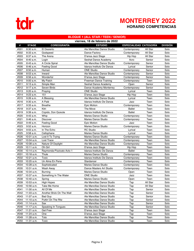

## **MONTERREY 2022 HORARIO COMPETENCIAS**

#### **BLOQUE 1 (ALL STAR / TEEN / SENIOR)**

|      | viernes, 18 de febrero de 2022 |                           |                            |                               |          |                 |
|------|--------------------------------|---------------------------|----------------------------|-------------------------------|----------|-----------------|
| #    | <b>STAGE</b>                   | <b>COREOGRAFÍA</b>        | <b>ESTUDIO</b>             | <b>ESPECIALIDAD CATEGORÍA</b> |          | <b>DIVISIÓN</b> |
| #001 | 8:30 a.m.                      | El Desierto               | Ale Mancillas Dance Studio | Contemporary                  | All Star | Solo            |
| #002 | 8:33 a.m.                      | Godspeed                  | Dance Factory              | Contemporary                  | All Star | Solo            |
| #003 | 8:37 a.m.                      | The Arena                 | D'ansa Jazz Stage          | Hip Hop                       | All Star | Solo            |
| #004 | 8:40 a.m.                      | Login                     | Seshat Dance Academy       | Acro                          | Senior   | Solo            |
| #005 | 8:43 a.m.                      | A Circle Spiral           | Ale Mancillas Dance Studio | Contemporary                  | Senior   | Solo            |
| #006 | 8:46 a.m.                      | Feeling Good              | Idanza Instituto De Danza  | Lyrical                       | Senior   | Solo            |
| #007 | 8:50 a.m.                      | Human                     | <b>ONE Studio</b>          | Contemporary                  | Senior   | Solo            |
| #008 | 8:53 a.m.                      | Inward                    | Ale Mancillas Dance Studio | Contemporary                  | Senior   | Solo            |
| #009 | 8:56 a.m.                      | Wonderful                 | D'ansa Jazz Stage          | Contemporary                  | Senior   | Solo            |
| #010 | 9:00 a.m.                      | My Patch                  | Freeman Dance Training     | Contemporary                  | Teen     | Solo            |
| #011 | 9:13 a.m.                      | Simple Man                | Seshat Dance Academy       | Open                          | Senior   | Solo            |
| #012 | $9:17$ a.m.                    | Seven Birds               | Dance Academy Monterrey    | Contemporary                  | Senior   | Solo            |
| #013 | 9:20 a.m.                      | Praying                   | <b>ONE Studio</b>          | Lyrical                       | Teen     | Solo            |
| #014 | 9:23 a.m.                      | 151                       | D'ansa Jazz Stage          | Hip Hop                       | Teen     | Solo            |
| #015 | 9:26 a.m.                      | A Blessing                | Ale Mancillas Dance Studio | Lyrical                       | Teen     | Solo            |
| #016 | $9:30$ a.m.                    | A Palé                    | Idanza Instituto De Danza  | Jazz                          | Teen     | Solo            |
| #017 | 9:33 a.m.                      | <b>Breathe</b>            | <b>Epic Motion</b>         | Contemporary                  | Teen     | Solo            |
| #018 | $9:37$ a.m.                    | Kitri                     | The Move                   | <b>Ballet</b>                 | Teen     | Solo            |
| #019 | 9:39a.m.                       | Cúpido, Don Quixote       | Idanza Instituto De Danza  | <b>Ballet</b>                 | Teen     | Solo            |
| #020 | 9:43 a.m.                      | Whip                      | <b>Maries Dance Studio</b> | Contemporary                  | Teen     | Solo            |
| #021 | $9:46$ a.m.                    | <b>Discover</b>           | <b>Maries Dance Studio</b> | Contemporary                  | Teen     | Solo            |
| #022 | 9:49 a.m.                      | Feeling Good              | <b>Epic Motion</b>         | Jazz                          | Teen     | Solo            |
| #023 | $9:52$ a.m.                    | Horizon                   | <b>Maries Dance Studio</b> | Contemporary                  | Teen     | Solo            |
| #024 | $9:55$ a.m.                    | In The Echo               | <b>RC Studio</b>           | Lyrical                       | Teen     | Solo            |
| #025 | 9:58 a.m.                      | Cellophane                | <b>Maries Dance Studio</b> | Lyrical                       | Teen     | Solo            |
| #026 | 10:01 a.m.                     | Lost It To Trying         | <b>Maries Dance Studio</b> | Contemporary                  | Teen     | Solo            |
| #027 | 10:04 a.m.                     | Lost Trace                | Ale Mancillas Dance Studio | Contemporary                  | Teen     | Solo            |
| #028 | 10:08 a.m.                     | Nature Of Daylight        | Ale Mancillas Dance Studio | Contemporary                  | Teen     | Solo            |
| #029 | $10:11$ a.m.                   | Oh Girl                   | D'ansa Jazz Stage          | Hip Hop                       | Teen     | Solo            |
| #030 | 10:14 a.m.                     | Raymonda-Pizzicato Acto 1 | Idanza Instituto De Danza  | <b>Ballet</b>                 | Teen     | Solo            |
| #031 | 10:18 a.m.                     | Thule                     | <b>Maries Dance Studio</b> | Contemporary                  | Teen     | Solo            |
| #032 | 10:21 a.m.                     | Toxic                     | Idanza Instituto De Danza  | Contemporary                  | Teen     | Solo            |
| #033 | 10:25 a.m.                     | Un Alma En Pena           | Stardancer                 | Contemporary                  | Teen     | Solo            |
| #034 | 10:28 a.m.                     | Sophisticated             | Maries Dance Studio        | Contemporary                  | Teen     | Solo            |
| #035 | 10:31 a.m.                     | Wash Away                 | Dance Masters Art Studio   | Contemporary                  | Teen     | Solo            |
| #036 | 10:34 a.m.                     | Burning                   | <b>Maries Dance Studio</b> | Open                          | Teen     | Solo            |
| #037 | 10:37 a.m.                     | Something In The Water    | <b>ONE Studio</b>          | Jazz                          | Teen     | Solo            |
| #038 | 10:40 a.m.                     | Spring                    | Maries Dance Studio        | Open                          | Teen     | Solo            |
| #039 | 10:53 a.m.                     | High Hopes                | Ale Mancillas Dance Studio | Tap                           | All Star | Solo            |
| #040 | 10:56 a.m.                     | Take Me Home              | Ale Mancillas Dance Studio | Tap                           | All Star | Solo            |
| #041 | 11:00 a.m.                     | All Of Me                 | Ale Mancillas Dance Studio | Tap                           | Senior   | Solo            |
| #042 | 11:03 a.m.                     | Another Brick On The Wall | Ale Mancillas Dance Studio | Tap                           | Senior   | Solo            |
| #043 | 11:07 a.m.                     | <b>Bad Guv</b>            | Ale Mancillas Dance Studio | Tap                           | Senior   | Solo            |
| #044 | 11:10 a.m.                     | Puttin'On The Ritz        | Ale Mancillas Dance Studio | Tap                           | Senior   | Solo            |
| #045 | $11:14$ a.m.                   | Sax                       | Ale Mancillas Dance Studio | Tap                           | Senior   | Solo            |
| #046 | 11:17 a.m.                     | Speaking In Tongues       | Ale Mancillas Dance Studio | Tap                           | Senior   | Solo            |
| #047 | 11:21 a.m.                     | Get Free                  | D'ansa Jazz Stage          | Tap                           | Teen     | Solo            |
| #048 | 11:24 a.m.                     | One                       | D'ansa Jazz Stage          | Tap                           | Teen     | Solo            |
| #049 | 11:28 a.m.                     | Toto                      | Ale Mancillas Dance Studio | Tap                           | Teen     | Solo            |
| #050 | 11:31 a.m.                     | Toxic                     | Ale Mancillas Dance Studio | Tap                           | Teen     | Solo            |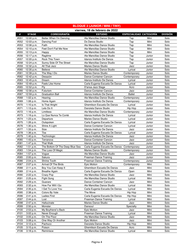| viernes, 18 de febrero de 2022<br><b>COREOGRAFÍA</b><br><b>DIVISIÓN</b><br>#<br><b>STAGE</b><br><b>ESTUDIO</b><br>ESPECIALIDAD CATEGORÍA<br>Ale Mancillas Dance Studio<br>#051<br>12:00 p.m.<br>Better When I'm Dancing<br>Mini<br>Solo<br>Tap<br>#052<br>Ds Danza Studio<br>Tap<br>Mini<br>Solo<br>12:03 p.m.<br>Dancing Fool<br>#053<br>Ale Mancillas Dance Studio<br>Tap<br>Mini<br>Solo<br>12:06 p.m.<br>Faith<br>Feet Don't Fail Me Now<br>Tap<br>Mini<br>Solo<br>#054<br>12:10 p.m.<br>Ale Mancillas Dance Studio<br>Solo<br>#055<br>12:13 p.m.<br>Ale Mancillas Dance Studio<br>Tap<br>Mini<br>Happy<br>#056<br>Ragtime<br>Ale Mancillas Dance Studio<br>Tap<br>Solo<br>12:17 p.m.<br>Junior<br>Rock This Town<br>#057<br>Tap<br>Solo<br>12:20 p.m.<br>Idanza Instituto De Danza<br>Junior<br>#058<br>Sunny Side Of The Street<br>Ale Mancillas Dance Studio<br>Tap<br>Solo<br>12:24 p.m.<br>Junior<br>#059<br>Solo<br>12:32 p.m.<br>All That Jazz<br><b>Maries Dance Studio</b><br>Jazz<br>Junior<br>Solo<br>#060<br><b>Believe</b><br>Ale Mancillas Dance Studio<br>12:35 p.m.<br>Lyrical<br>Junior<br>12:39 p.m.<br>The Way I Do<br><b>Maries Dance Studio</b><br>Solo<br>#061<br>Junior<br>Contemporary<br>#062<br>12:42 p.m.<br>Solo<br>Desazón<br>Dance Container Cancún<br>Junior<br>Contemporary<br>#063<br>12:45 p.m.<br>Idanza Instituto De Danza<br>Solo<br>Dream<br>Lyrical<br>Junior<br>#064<br>12:49 p.m.<br>Feels Like Home<br>Carla Eugenia Escuela De Danza<br>Solo<br>Lyrical<br>Junior<br>Fly<br>Solo<br>#065<br>12:52 p.m.<br>D'ansa Jazz Stage<br>Acro<br>Junior<br>Futurism<br>Solo<br>#066<br>Dance Container Cancún<br>12:56 p.m.<br>Jazz<br>Junior<br><b>Graduation Ball</b><br><b>Ballet</b><br>Solo<br>#067<br>12:59 p.m.<br>Idanza Instituto De Danza<br>Junior<br>#068<br>1:02 p.m.<br>Ale Mancillas Dance Studio<br>Solo<br>Hearing<br>Junior<br>Contemporary<br>#069<br>Solo<br>1:06 p.m.<br>Home Again<br>Idanza Instituto De Danza<br>Contemporary<br>Junior<br>Solo<br>#070<br>Is That Alright<br>Ghemilson Escuela De Danza<br>1:10 p.m.<br>Lyrical<br>Junior<br>#071<br>1:13 p.m.<br>Lets Do It<br>Danziela Dance Studio<br>Solo<br>Hip Hop<br>Junior<br>#072<br>Limitless<br>Ale Mancillas Dance Studio<br>Solo<br>1:16 p.m.<br>Contemporary<br>Junior<br>Lo Que Nunca Te Conté<br>Solo<br>#073<br>1:19 p.m.<br>Idanza Instituto De Danza<br>Lyrical<br>Junior<br>#074<br>1:23 p.m.<br><b>Maries Dance Studio</b><br>Solo<br>Departure<br>Lyrical<br>Junior<br>#075<br>$1:26$ p.m.<br>Carla Eugenia Escuela De Danza<br>Solo<br>Outspoken<br>Lyrical<br>Junior<br>#076<br>Shine A Light<br>Dance Container Cancún<br>Lyrical<br>Solo<br>1:30 p.m.<br>Junior<br>#077<br>Size<br>Solo<br>1:33 p.m.<br>Idanza Instituto De Danza<br>Jazz<br>Junior<br>#078<br>Tba<br>Solo<br>1:36 p.m.<br>Carla Eugenia Escuela De Danza<br>Lyrical<br>Junior<br>Solo<br>#079<br>Technologic<br>1:40 p.m.<br>Idanza Instituto De Danza<br>Jazz<br>Junior<br>#080<br>1:43 p.m.<br>Dance Container Cancún<br>Solo<br>Terranova<br>Jazz<br>Junior<br>#081<br>1:47 p.m.<br><b>That Walk</b><br>Solo<br>Idanza Instituto De Danza<br>Jazz<br>Junior<br>The Bottom Of The Deep Blue Sea<br>#082<br>1:51 p.m.<br>Carla Eugenia Escuela De Danza<br>Contemporary<br>Solo<br>Junior<br>#083<br>Solo<br>The Loss Of Magic<br><b>Maries Dance Studio</b><br>1:54 p.m.<br>Contemporary<br>Junior<br>Solo<br>#084<br>1:57 p.m.<br>Ale Mancillas Dance Studio<br>Vogue<br>Jazz<br>Junior<br>#085<br>Sakura<br>Jazz<br>Solo<br>2:00 p.m.<br>Freeman Dance Training<br>Junior<br>#086<br>Shrine Tooth<br>Solo<br>2:04 p.m.<br><b>Freeman Dance Training</b><br>Junior<br>Contemporary<br>#087<br>2:07 p.m.<br><b>Arrival Of The Birds</b><br>Mini<br>Solo<br>Epic Motion<br>Contemporary<br>Boy You Can Keep It<br>Ghemilson Escuela De Danza<br>#088<br>Mini<br>Solo<br>2:11 p.m.<br>Jazz<br>#089<br>Carla Eugenia Escuela De Danza<br>Solo<br>2:14 p.m.<br><b>Breathe Again</b><br>Mini<br>Open<br>Ale Mancillas Dance Studio<br>#090<br>2:22 p.m.<br>Crazy Pop<br>Jazz<br>Mini<br>Solo<br>Ale Mancillas Dance Studio<br>#091<br>2:25 p.m.<br>Fight Song<br>Mini<br>Solo<br>Lyrical<br>Solo<br>#092<br>2:29 p.m.<br>Dance Container Cancún<br>Jazz<br>Mini<br>Guarare<br>How Far Will I Go<br>Ale Mancillas Dance Studio<br>#093<br>2:32 p.m.<br>Lyrical<br>Mini<br>Solo<br>#094<br>I Get To Love You<br>Carla Eugenia Escuela De Danza<br>Lyrical<br>Mini<br>Solo<br>2:35 p.m.<br>#095<br>2:38 p.m.<br>Colors By Vale<br>The Move<br>Hip Hop<br>Mini<br>Solo<br>Carla Eugenia Escuela De Danza<br>Solo<br>#096<br><b>Ladies First</b><br>Hip Hop<br>Mini<br>2:41 p.m.<br>#097<br>Freeman Dance Training<br>Mini<br>Solo<br>2:44 p.m.<br>Lost<br>Lyrical<br>Hallucinate<br>Maries Dance Studio<br>Solo<br>#098<br>2:47 p.m.<br>Jazz<br>Mini<br>#099<br>Mini<br>Solo<br>2:50 p.m.<br>Monster.<br>Dansoul<br>Specialty<br>My Boyfriend's Back<br>#100<br>2:53 p.m.<br>Epic Motion<br>Jazz<br>Mini<br>Solo<br>#101<br>Never Enough<br><b>Freeman Dance Training</b><br>3:02 p.m.<br>Lyrical<br>Mini<br>Solo<br>#102<br>On The Floor<br>Ale Mancillas Dance Studio<br>Solo<br>3:05 p.m.<br>Jazz<br>Mini<br>#103<br>3:08 p.m.<br>One Way Or Another<br>Epic Motion<br>Jazz<br>Mini<br>Solo<br>Danziela Dance Studio<br>#104<br>Mini<br>Solo<br>3:12 p.m.<br>Pachuco<br>Hip Hop<br>Poison<br>Ghemilson Escuela De Danza<br>Solo<br>#105<br>Acro<br>Mini<br>3:15 p.m.<br>Ale Mancillas Dance Studio<br>Solo<br>#106<br>Reminisce<br>Lyrical<br>Mini<br>3:18 p.m. | <b>BLOQUE 2 (JUNIOR / MINI / TINY)</b> |  |  |  |  |  |  |
|----------------------------------------------------------------------------------------------------------------------------------------------------------------------------------------------------------------------------------------------------------------------------------------------------------------------------------------------------------------------------------------------------------------------------------------------------------------------------------------------------------------------------------------------------------------------------------------------------------------------------------------------------------------------------------------------------------------------------------------------------------------------------------------------------------------------------------------------------------------------------------------------------------------------------------------------------------------------------------------------------------------------------------------------------------------------------------------------------------------------------------------------------------------------------------------------------------------------------------------------------------------------------------------------------------------------------------------------------------------------------------------------------------------------------------------------------------------------------------------------------------------------------------------------------------------------------------------------------------------------------------------------------------------------------------------------------------------------------------------------------------------------------------------------------------------------------------------------------------------------------------------------------------------------------------------------------------------------------------------------------------------------------------------------------------------------------------------------------------------------------------------------------------------------------------------------------------------------------------------------------------------------------------------------------------------------------------------------------------------------------------------------------------------------------------------------------------------------------------------------------------------------------------------------------------------------------------------------------------------------------------------------------------------------------------------------------------------------------------------------------------------------------------------------------------------------------------------------------------------------------------------------------------------------------------------------------------------------------------------------------------------------------------------------------------------------------------------------------------------------------------------------------------------------------------------------------------------------------------------------------------------------------------------------------------------------------------------------------------------------------------------------------------------------------------------------------------------------------------------------------------------------------------------------------------------------------------------------------------------------------------------------------------------------------------------------------------------------------------------------------------------------------------------------------------------------------------------------------------------------------------------------------------------------------------------------------------------------------------------------------------------------------------------------------------------------------------------------------------------------------------------------------------------------------------------------------------------------------------------------------------------------------------------------------------------------------------------------------------------------------------------------------------------------------------------------------------------------------------------------------------------------------------------------------------------------------------------------------------------------------------------------------------------------------------------------------------------------------------------------------------------------------------------------------------------------------------------------------------------------------------------------------------------------------------------------------------------------------------------------------------------------------------------------------------------------------------------------------------------------------------------------------------------------------------------------------------------------------------------------------------------------------------------------------------------------------------------------------------------------------------------------------------------------------------------------------------------------------------------------------------------------------------------------------------------------|----------------------------------------|--|--|--|--|--|--|
|                                                                                                                                                                                                                                                                                                                                                                                                                                                                                                                                                                                                                                                                                                                                                                                                                                                                                                                                                                                                                                                                                                                                                                                                                                                                                                                                                                                                                                                                                                                                                                                                                                                                                                                                                                                                                                                                                                                                                                                                                                                                                                                                                                                                                                                                                                                                                                                                                                                                                                                                                                                                                                                                                                                                                                                                                                                                                                                                                                                                                                                                                                                                                                                                                                                                                                                                                                                                                                                                                                                                                                                                                                                                                                                                                                                                                                                                                                                                                                                                                                                                                                                                                                                                                                                                                                                                                                                                                                                                                                                                                                                                                                                                                                                                                                                                                                                                                                                                                                                                                                                                                                                                                                                                                                                                                                                                                                                                                                                                                                                                                                      |                                        |  |  |  |  |  |  |
|                                                                                                                                                                                                                                                                                                                                                                                                                                                                                                                                                                                                                                                                                                                                                                                                                                                                                                                                                                                                                                                                                                                                                                                                                                                                                                                                                                                                                                                                                                                                                                                                                                                                                                                                                                                                                                                                                                                                                                                                                                                                                                                                                                                                                                                                                                                                                                                                                                                                                                                                                                                                                                                                                                                                                                                                                                                                                                                                                                                                                                                                                                                                                                                                                                                                                                                                                                                                                                                                                                                                                                                                                                                                                                                                                                                                                                                                                                                                                                                                                                                                                                                                                                                                                                                                                                                                                                                                                                                                                                                                                                                                                                                                                                                                                                                                                                                                                                                                                                                                                                                                                                                                                                                                                                                                                                                                                                                                                                                                                                                                                                      |                                        |  |  |  |  |  |  |
|                                                                                                                                                                                                                                                                                                                                                                                                                                                                                                                                                                                                                                                                                                                                                                                                                                                                                                                                                                                                                                                                                                                                                                                                                                                                                                                                                                                                                                                                                                                                                                                                                                                                                                                                                                                                                                                                                                                                                                                                                                                                                                                                                                                                                                                                                                                                                                                                                                                                                                                                                                                                                                                                                                                                                                                                                                                                                                                                                                                                                                                                                                                                                                                                                                                                                                                                                                                                                                                                                                                                                                                                                                                                                                                                                                                                                                                                                                                                                                                                                                                                                                                                                                                                                                                                                                                                                                                                                                                                                                                                                                                                                                                                                                                                                                                                                                                                                                                                                                                                                                                                                                                                                                                                                                                                                                                                                                                                                                                                                                                                                                      |                                        |  |  |  |  |  |  |
|                                                                                                                                                                                                                                                                                                                                                                                                                                                                                                                                                                                                                                                                                                                                                                                                                                                                                                                                                                                                                                                                                                                                                                                                                                                                                                                                                                                                                                                                                                                                                                                                                                                                                                                                                                                                                                                                                                                                                                                                                                                                                                                                                                                                                                                                                                                                                                                                                                                                                                                                                                                                                                                                                                                                                                                                                                                                                                                                                                                                                                                                                                                                                                                                                                                                                                                                                                                                                                                                                                                                                                                                                                                                                                                                                                                                                                                                                                                                                                                                                                                                                                                                                                                                                                                                                                                                                                                                                                                                                                                                                                                                                                                                                                                                                                                                                                                                                                                                                                                                                                                                                                                                                                                                                                                                                                                                                                                                                                                                                                                                                                      |                                        |  |  |  |  |  |  |
|                                                                                                                                                                                                                                                                                                                                                                                                                                                                                                                                                                                                                                                                                                                                                                                                                                                                                                                                                                                                                                                                                                                                                                                                                                                                                                                                                                                                                                                                                                                                                                                                                                                                                                                                                                                                                                                                                                                                                                                                                                                                                                                                                                                                                                                                                                                                                                                                                                                                                                                                                                                                                                                                                                                                                                                                                                                                                                                                                                                                                                                                                                                                                                                                                                                                                                                                                                                                                                                                                                                                                                                                                                                                                                                                                                                                                                                                                                                                                                                                                                                                                                                                                                                                                                                                                                                                                                                                                                                                                                                                                                                                                                                                                                                                                                                                                                                                                                                                                                                                                                                                                                                                                                                                                                                                                                                                                                                                                                                                                                                                                                      |                                        |  |  |  |  |  |  |
|                                                                                                                                                                                                                                                                                                                                                                                                                                                                                                                                                                                                                                                                                                                                                                                                                                                                                                                                                                                                                                                                                                                                                                                                                                                                                                                                                                                                                                                                                                                                                                                                                                                                                                                                                                                                                                                                                                                                                                                                                                                                                                                                                                                                                                                                                                                                                                                                                                                                                                                                                                                                                                                                                                                                                                                                                                                                                                                                                                                                                                                                                                                                                                                                                                                                                                                                                                                                                                                                                                                                                                                                                                                                                                                                                                                                                                                                                                                                                                                                                                                                                                                                                                                                                                                                                                                                                                                                                                                                                                                                                                                                                                                                                                                                                                                                                                                                                                                                                                                                                                                                                                                                                                                                                                                                                                                                                                                                                                                                                                                                                                      |                                        |  |  |  |  |  |  |
|                                                                                                                                                                                                                                                                                                                                                                                                                                                                                                                                                                                                                                                                                                                                                                                                                                                                                                                                                                                                                                                                                                                                                                                                                                                                                                                                                                                                                                                                                                                                                                                                                                                                                                                                                                                                                                                                                                                                                                                                                                                                                                                                                                                                                                                                                                                                                                                                                                                                                                                                                                                                                                                                                                                                                                                                                                                                                                                                                                                                                                                                                                                                                                                                                                                                                                                                                                                                                                                                                                                                                                                                                                                                                                                                                                                                                                                                                                                                                                                                                                                                                                                                                                                                                                                                                                                                                                                                                                                                                                                                                                                                                                                                                                                                                                                                                                                                                                                                                                                                                                                                                                                                                                                                                                                                                                                                                                                                                                                                                                                                                                      |                                        |  |  |  |  |  |  |
|                                                                                                                                                                                                                                                                                                                                                                                                                                                                                                                                                                                                                                                                                                                                                                                                                                                                                                                                                                                                                                                                                                                                                                                                                                                                                                                                                                                                                                                                                                                                                                                                                                                                                                                                                                                                                                                                                                                                                                                                                                                                                                                                                                                                                                                                                                                                                                                                                                                                                                                                                                                                                                                                                                                                                                                                                                                                                                                                                                                                                                                                                                                                                                                                                                                                                                                                                                                                                                                                                                                                                                                                                                                                                                                                                                                                                                                                                                                                                                                                                                                                                                                                                                                                                                                                                                                                                                                                                                                                                                                                                                                                                                                                                                                                                                                                                                                                                                                                                                                                                                                                                                                                                                                                                                                                                                                                                                                                                                                                                                                                                                      |                                        |  |  |  |  |  |  |
|                                                                                                                                                                                                                                                                                                                                                                                                                                                                                                                                                                                                                                                                                                                                                                                                                                                                                                                                                                                                                                                                                                                                                                                                                                                                                                                                                                                                                                                                                                                                                                                                                                                                                                                                                                                                                                                                                                                                                                                                                                                                                                                                                                                                                                                                                                                                                                                                                                                                                                                                                                                                                                                                                                                                                                                                                                                                                                                                                                                                                                                                                                                                                                                                                                                                                                                                                                                                                                                                                                                                                                                                                                                                                                                                                                                                                                                                                                                                                                                                                                                                                                                                                                                                                                                                                                                                                                                                                                                                                                                                                                                                                                                                                                                                                                                                                                                                                                                                                                                                                                                                                                                                                                                                                                                                                                                                                                                                                                                                                                                                                                      |                                        |  |  |  |  |  |  |
|                                                                                                                                                                                                                                                                                                                                                                                                                                                                                                                                                                                                                                                                                                                                                                                                                                                                                                                                                                                                                                                                                                                                                                                                                                                                                                                                                                                                                                                                                                                                                                                                                                                                                                                                                                                                                                                                                                                                                                                                                                                                                                                                                                                                                                                                                                                                                                                                                                                                                                                                                                                                                                                                                                                                                                                                                                                                                                                                                                                                                                                                                                                                                                                                                                                                                                                                                                                                                                                                                                                                                                                                                                                                                                                                                                                                                                                                                                                                                                                                                                                                                                                                                                                                                                                                                                                                                                                                                                                                                                                                                                                                                                                                                                                                                                                                                                                                                                                                                                                                                                                                                                                                                                                                                                                                                                                                                                                                                                                                                                                                                                      |                                        |  |  |  |  |  |  |
|                                                                                                                                                                                                                                                                                                                                                                                                                                                                                                                                                                                                                                                                                                                                                                                                                                                                                                                                                                                                                                                                                                                                                                                                                                                                                                                                                                                                                                                                                                                                                                                                                                                                                                                                                                                                                                                                                                                                                                                                                                                                                                                                                                                                                                                                                                                                                                                                                                                                                                                                                                                                                                                                                                                                                                                                                                                                                                                                                                                                                                                                                                                                                                                                                                                                                                                                                                                                                                                                                                                                                                                                                                                                                                                                                                                                                                                                                                                                                                                                                                                                                                                                                                                                                                                                                                                                                                                                                                                                                                                                                                                                                                                                                                                                                                                                                                                                                                                                                                                                                                                                                                                                                                                                                                                                                                                                                                                                                                                                                                                                                                      |                                        |  |  |  |  |  |  |
|                                                                                                                                                                                                                                                                                                                                                                                                                                                                                                                                                                                                                                                                                                                                                                                                                                                                                                                                                                                                                                                                                                                                                                                                                                                                                                                                                                                                                                                                                                                                                                                                                                                                                                                                                                                                                                                                                                                                                                                                                                                                                                                                                                                                                                                                                                                                                                                                                                                                                                                                                                                                                                                                                                                                                                                                                                                                                                                                                                                                                                                                                                                                                                                                                                                                                                                                                                                                                                                                                                                                                                                                                                                                                                                                                                                                                                                                                                                                                                                                                                                                                                                                                                                                                                                                                                                                                                                                                                                                                                                                                                                                                                                                                                                                                                                                                                                                                                                                                                                                                                                                                                                                                                                                                                                                                                                                                                                                                                                                                                                                                                      |                                        |  |  |  |  |  |  |
|                                                                                                                                                                                                                                                                                                                                                                                                                                                                                                                                                                                                                                                                                                                                                                                                                                                                                                                                                                                                                                                                                                                                                                                                                                                                                                                                                                                                                                                                                                                                                                                                                                                                                                                                                                                                                                                                                                                                                                                                                                                                                                                                                                                                                                                                                                                                                                                                                                                                                                                                                                                                                                                                                                                                                                                                                                                                                                                                                                                                                                                                                                                                                                                                                                                                                                                                                                                                                                                                                                                                                                                                                                                                                                                                                                                                                                                                                                                                                                                                                                                                                                                                                                                                                                                                                                                                                                                                                                                                                                                                                                                                                                                                                                                                                                                                                                                                                                                                                                                                                                                                                                                                                                                                                                                                                                                                                                                                                                                                                                                                                                      |                                        |  |  |  |  |  |  |
|                                                                                                                                                                                                                                                                                                                                                                                                                                                                                                                                                                                                                                                                                                                                                                                                                                                                                                                                                                                                                                                                                                                                                                                                                                                                                                                                                                                                                                                                                                                                                                                                                                                                                                                                                                                                                                                                                                                                                                                                                                                                                                                                                                                                                                                                                                                                                                                                                                                                                                                                                                                                                                                                                                                                                                                                                                                                                                                                                                                                                                                                                                                                                                                                                                                                                                                                                                                                                                                                                                                                                                                                                                                                                                                                                                                                                                                                                                                                                                                                                                                                                                                                                                                                                                                                                                                                                                                                                                                                                                                                                                                                                                                                                                                                                                                                                                                                                                                                                                                                                                                                                                                                                                                                                                                                                                                                                                                                                                                                                                                                                                      |                                        |  |  |  |  |  |  |
|                                                                                                                                                                                                                                                                                                                                                                                                                                                                                                                                                                                                                                                                                                                                                                                                                                                                                                                                                                                                                                                                                                                                                                                                                                                                                                                                                                                                                                                                                                                                                                                                                                                                                                                                                                                                                                                                                                                                                                                                                                                                                                                                                                                                                                                                                                                                                                                                                                                                                                                                                                                                                                                                                                                                                                                                                                                                                                                                                                                                                                                                                                                                                                                                                                                                                                                                                                                                                                                                                                                                                                                                                                                                                                                                                                                                                                                                                                                                                                                                                                                                                                                                                                                                                                                                                                                                                                                                                                                                                                                                                                                                                                                                                                                                                                                                                                                                                                                                                                                                                                                                                                                                                                                                                                                                                                                                                                                                                                                                                                                                                                      |                                        |  |  |  |  |  |  |
|                                                                                                                                                                                                                                                                                                                                                                                                                                                                                                                                                                                                                                                                                                                                                                                                                                                                                                                                                                                                                                                                                                                                                                                                                                                                                                                                                                                                                                                                                                                                                                                                                                                                                                                                                                                                                                                                                                                                                                                                                                                                                                                                                                                                                                                                                                                                                                                                                                                                                                                                                                                                                                                                                                                                                                                                                                                                                                                                                                                                                                                                                                                                                                                                                                                                                                                                                                                                                                                                                                                                                                                                                                                                                                                                                                                                                                                                                                                                                                                                                                                                                                                                                                                                                                                                                                                                                                                                                                                                                                                                                                                                                                                                                                                                                                                                                                                                                                                                                                                                                                                                                                                                                                                                                                                                                                                                                                                                                                                                                                                                                                      |                                        |  |  |  |  |  |  |
|                                                                                                                                                                                                                                                                                                                                                                                                                                                                                                                                                                                                                                                                                                                                                                                                                                                                                                                                                                                                                                                                                                                                                                                                                                                                                                                                                                                                                                                                                                                                                                                                                                                                                                                                                                                                                                                                                                                                                                                                                                                                                                                                                                                                                                                                                                                                                                                                                                                                                                                                                                                                                                                                                                                                                                                                                                                                                                                                                                                                                                                                                                                                                                                                                                                                                                                                                                                                                                                                                                                                                                                                                                                                                                                                                                                                                                                                                                                                                                                                                                                                                                                                                                                                                                                                                                                                                                                                                                                                                                                                                                                                                                                                                                                                                                                                                                                                                                                                                                                                                                                                                                                                                                                                                                                                                                                                                                                                                                                                                                                                                                      |                                        |  |  |  |  |  |  |
|                                                                                                                                                                                                                                                                                                                                                                                                                                                                                                                                                                                                                                                                                                                                                                                                                                                                                                                                                                                                                                                                                                                                                                                                                                                                                                                                                                                                                                                                                                                                                                                                                                                                                                                                                                                                                                                                                                                                                                                                                                                                                                                                                                                                                                                                                                                                                                                                                                                                                                                                                                                                                                                                                                                                                                                                                                                                                                                                                                                                                                                                                                                                                                                                                                                                                                                                                                                                                                                                                                                                                                                                                                                                                                                                                                                                                                                                                                                                                                                                                                                                                                                                                                                                                                                                                                                                                                                                                                                                                                                                                                                                                                                                                                                                                                                                                                                                                                                                                                                                                                                                                                                                                                                                                                                                                                                                                                                                                                                                                                                                                                      |                                        |  |  |  |  |  |  |
|                                                                                                                                                                                                                                                                                                                                                                                                                                                                                                                                                                                                                                                                                                                                                                                                                                                                                                                                                                                                                                                                                                                                                                                                                                                                                                                                                                                                                                                                                                                                                                                                                                                                                                                                                                                                                                                                                                                                                                                                                                                                                                                                                                                                                                                                                                                                                                                                                                                                                                                                                                                                                                                                                                                                                                                                                                                                                                                                                                                                                                                                                                                                                                                                                                                                                                                                                                                                                                                                                                                                                                                                                                                                                                                                                                                                                                                                                                                                                                                                                                                                                                                                                                                                                                                                                                                                                                                                                                                                                                                                                                                                                                                                                                                                                                                                                                                                                                                                                                                                                                                                                                                                                                                                                                                                                                                                                                                                                                                                                                                                                                      |                                        |  |  |  |  |  |  |
|                                                                                                                                                                                                                                                                                                                                                                                                                                                                                                                                                                                                                                                                                                                                                                                                                                                                                                                                                                                                                                                                                                                                                                                                                                                                                                                                                                                                                                                                                                                                                                                                                                                                                                                                                                                                                                                                                                                                                                                                                                                                                                                                                                                                                                                                                                                                                                                                                                                                                                                                                                                                                                                                                                                                                                                                                                                                                                                                                                                                                                                                                                                                                                                                                                                                                                                                                                                                                                                                                                                                                                                                                                                                                                                                                                                                                                                                                                                                                                                                                                                                                                                                                                                                                                                                                                                                                                                                                                                                                                                                                                                                                                                                                                                                                                                                                                                                                                                                                                                                                                                                                                                                                                                                                                                                                                                                                                                                                                                                                                                                                                      |                                        |  |  |  |  |  |  |
|                                                                                                                                                                                                                                                                                                                                                                                                                                                                                                                                                                                                                                                                                                                                                                                                                                                                                                                                                                                                                                                                                                                                                                                                                                                                                                                                                                                                                                                                                                                                                                                                                                                                                                                                                                                                                                                                                                                                                                                                                                                                                                                                                                                                                                                                                                                                                                                                                                                                                                                                                                                                                                                                                                                                                                                                                                                                                                                                                                                                                                                                                                                                                                                                                                                                                                                                                                                                                                                                                                                                                                                                                                                                                                                                                                                                                                                                                                                                                                                                                                                                                                                                                                                                                                                                                                                                                                                                                                                                                                                                                                                                                                                                                                                                                                                                                                                                                                                                                                                                                                                                                                                                                                                                                                                                                                                                                                                                                                                                                                                                                                      |                                        |  |  |  |  |  |  |
|                                                                                                                                                                                                                                                                                                                                                                                                                                                                                                                                                                                                                                                                                                                                                                                                                                                                                                                                                                                                                                                                                                                                                                                                                                                                                                                                                                                                                                                                                                                                                                                                                                                                                                                                                                                                                                                                                                                                                                                                                                                                                                                                                                                                                                                                                                                                                                                                                                                                                                                                                                                                                                                                                                                                                                                                                                                                                                                                                                                                                                                                                                                                                                                                                                                                                                                                                                                                                                                                                                                                                                                                                                                                                                                                                                                                                                                                                                                                                                                                                                                                                                                                                                                                                                                                                                                                                                                                                                                                                                                                                                                                                                                                                                                                                                                                                                                                                                                                                                                                                                                                                                                                                                                                                                                                                                                                                                                                                                                                                                                                                                      |                                        |  |  |  |  |  |  |
|                                                                                                                                                                                                                                                                                                                                                                                                                                                                                                                                                                                                                                                                                                                                                                                                                                                                                                                                                                                                                                                                                                                                                                                                                                                                                                                                                                                                                                                                                                                                                                                                                                                                                                                                                                                                                                                                                                                                                                                                                                                                                                                                                                                                                                                                                                                                                                                                                                                                                                                                                                                                                                                                                                                                                                                                                                                                                                                                                                                                                                                                                                                                                                                                                                                                                                                                                                                                                                                                                                                                                                                                                                                                                                                                                                                                                                                                                                                                                                                                                                                                                                                                                                                                                                                                                                                                                                                                                                                                                                                                                                                                                                                                                                                                                                                                                                                                                                                                                                                                                                                                                                                                                                                                                                                                                                                                                                                                                                                                                                                                                                      |                                        |  |  |  |  |  |  |
|                                                                                                                                                                                                                                                                                                                                                                                                                                                                                                                                                                                                                                                                                                                                                                                                                                                                                                                                                                                                                                                                                                                                                                                                                                                                                                                                                                                                                                                                                                                                                                                                                                                                                                                                                                                                                                                                                                                                                                                                                                                                                                                                                                                                                                                                                                                                                                                                                                                                                                                                                                                                                                                                                                                                                                                                                                                                                                                                                                                                                                                                                                                                                                                                                                                                                                                                                                                                                                                                                                                                                                                                                                                                                                                                                                                                                                                                                                                                                                                                                                                                                                                                                                                                                                                                                                                                                                                                                                                                                                                                                                                                                                                                                                                                                                                                                                                                                                                                                                                                                                                                                                                                                                                                                                                                                                                                                                                                                                                                                                                                                                      |                                        |  |  |  |  |  |  |
|                                                                                                                                                                                                                                                                                                                                                                                                                                                                                                                                                                                                                                                                                                                                                                                                                                                                                                                                                                                                                                                                                                                                                                                                                                                                                                                                                                                                                                                                                                                                                                                                                                                                                                                                                                                                                                                                                                                                                                                                                                                                                                                                                                                                                                                                                                                                                                                                                                                                                                                                                                                                                                                                                                                                                                                                                                                                                                                                                                                                                                                                                                                                                                                                                                                                                                                                                                                                                                                                                                                                                                                                                                                                                                                                                                                                                                                                                                                                                                                                                                                                                                                                                                                                                                                                                                                                                                                                                                                                                                                                                                                                                                                                                                                                                                                                                                                                                                                                                                                                                                                                                                                                                                                                                                                                                                                                                                                                                                                                                                                                                                      |                                        |  |  |  |  |  |  |
|                                                                                                                                                                                                                                                                                                                                                                                                                                                                                                                                                                                                                                                                                                                                                                                                                                                                                                                                                                                                                                                                                                                                                                                                                                                                                                                                                                                                                                                                                                                                                                                                                                                                                                                                                                                                                                                                                                                                                                                                                                                                                                                                                                                                                                                                                                                                                                                                                                                                                                                                                                                                                                                                                                                                                                                                                                                                                                                                                                                                                                                                                                                                                                                                                                                                                                                                                                                                                                                                                                                                                                                                                                                                                                                                                                                                                                                                                                                                                                                                                                                                                                                                                                                                                                                                                                                                                                                                                                                                                                                                                                                                                                                                                                                                                                                                                                                                                                                                                                                                                                                                                                                                                                                                                                                                                                                                                                                                                                                                                                                                                                      |                                        |  |  |  |  |  |  |
|                                                                                                                                                                                                                                                                                                                                                                                                                                                                                                                                                                                                                                                                                                                                                                                                                                                                                                                                                                                                                                                                                                                                                                                                                                                                                                                                                                                                                                                                                                                                                                                                                                                                                                                                                                                                                                                                                                                                                                                                                                                                                                                                                                                                                                                                                                                                                                                                                                                                                                                                                                                                                                                                                                                                                                                                                                                                                                                                                                                                                                                                                                                                                                                                                                                                                                                                                                                                                                                                                                                                                                                                                                                                                                                                                                                                                                                                                                                                                                                                                                                                                                                                                                                                                                                                                                                                                                                                                                                                                                                                                                                                                                                                                                                                                                                                                                                                                                                                                                                                                                                                                                                                                                                                                                                                                                                                                                                                                                                                                                                                                                      |                                        |  |  |  |  |  |  |
|                                                                                                                                                                                                                                                                                                                                                                                                                                                                                                                                                                                                                                                                                                                                                                                                                                                                                                                                                                                                                                                                                                                                                                                                                                                                                                                                                                                                                                                                                                                                                                                                                                                                                                                                                                                                                                                                                                                                                                                                                                                                                                                                                                                                                                                                                                                                                                                                                                                                                                                                                                                                                                                                                                                                                                                                                                                                                                                                                                                                                                                                                                                                                                                                                                                                                                                                                                                                                                                                                                                                                                                                                                                                                                                                                                                                                                                                                                                                                                                                                                                                                                                                                                                                                                                                                                                                                                                                                                                                                                                                                                                                                                                                                                                                                                                                                                                                                                                                                                                                                                                                                                                                                                                                                                                                                                                                                                                                                                                                                                                                                                      |                                        |  |  |  |  |  |  |
|                                                                                                                                                                                                                                                                                                                                                                                                                                                                                                                                                                                                                                                                                                                                                                                                                                                                                                                                                                                                                                                                                                                                                                                                                                                                                                                                                                                                                                                                                                                                                                                                                                                                                                                                                                                                                                                                                                                                                                                                                                                                                                                                                                                                                                                                                                                                                                                                                                                                                                                                                                                                                                                                                                                                                                                                                                                                                                                                                                                                                                                                                                                                                                                                                                                                                                                                                                                                                                                                                                                                                                                                                                                                                                                                                                                                                                                                                                                                                                                                                                                                                                                                                                                                                                                                                                                                                                                                                                                                                                                                                                                                                                                                                                                                                                                                                                                                                                                                                                                                                                                                                                                                                                                                                                                                                                                                                                                                                                                                                                                                                                      |                                        |  |  |  |  |  |  |
|                                                                                                                                                                                                                                                                                                                                                                                                                                                                                                                                                                                                                                                                                                                                                                                                                                                                                                                                                                                                                                                                                                                                                                                                                                                                                                                                                                                                                                                                                                                                                                                                                                                                                                                                                                                                                                                                                                                                                                                                                                                                                                                                                                                                                                                                                                                                                                                                                                                                                                                                                                                                                                                                                                                                                                                                                                                                                                                                                                                                                                                                                                                                                                                                                                                                                                                                                                                                                                                                                                                                                                                                                                                                                                                                                                                                                                                                                                                                                                                                                                                                                                                                                                                                                                                                                                                                                                                                                                                                                                                                                                                                                                                                                                                                                                                                                                                                                                                                                                                                                                                                                                                                                                                                                                                                                                                                                                                                                                                                                                                                                                      |                                        |  |  |  |  |  |  |
|                                                                                                                                                                                                                                                                                                                                                                                                                                                                                                                                                                                                                                                                                                                                                                                                                                                                                                                                                                                                                                                                                                                                                                                                                                                                                                                                                                                                                                                                                                                                                                                                                                                                                                                                                                                                                                                                                                                                                                                                                                                                                                                                                                                                                                                                                                                                                                                                                                                                                                                                                                                                                                                                                                                                                                                                                                                                                                                                                                                                                                                                                                                                                                                                                                                                                                                                                                                                                                                                                                                                                                                                                                                                                                                                                                                                                                                                                                                                                                                                                                                                                                                                                                                                                                                                                                                                                                                                                                                                                                                                                                                                                                                                                                                                                                                                                                                                                                                                                                                                                                                                                                                                                                                                                                                                                                                                                                                                                                                                                                                                                                      |                                        |  |  |  |  |  |  |
|                                                                                                                                                                                                                                                                                                                                                                                                                                                                                                                                                                                                                                                                                                                                                                                                                                                                                                                                                                                                                                                                                                                                                                                                                                                                                                                                                                                                                                                                                                                                                                                                                                                                                                                                                                                                                                                                                                                                                                                                                                                                                                                                                                                                                                                                                                                                                                                                                                                                                                                                                                                                                                                                                                                                                                                                                                                                                                                                                                                                                                                                                                                                                                                                                                                                                                                                                                                                                                                                                                                                                                                                                                                                                                                                                                                                                                                                                                                                                                                                                                                                                                                                                                                                                                                                                                                                                                                                                                                                                                                                                                                                                                                                                                                                                                                                                                                                                                                                                                                                                                                                                                                                                                                                                                                                                                                                                                                                                                                                                                                                                                      |                                        |  |  |  |  |  |  |
|                                                                                                                                                                                                                                                                                                                                                                                                                                                                                                                                                                                                                                                                                                                                                                                                                                                                                                                                                                                                                                                                                                                                                                                                                                                                                                                                                                                                                                                                                                                                                                                                                                                                                                                                                                                                                                                                                                                                                                                                                                                                                                                                                                                                                                                                                                                                                                                                                                                                                                                                                                                                                                                                                                                                                                                                                                                                                                                                                                                                                                                                                                                                                                                                                                                                                                                                                                                                                                                                                                                                                                                                                                                                                                                                                                                                                                                                                                                                                                                                                                                                                                                                                                                                                                                                                                                                                                                                                                                                                                                                                                                                                                                                                                                                                                                                                                                                                                                                                                                                                                                                                                                                                                                                                                                                                                                                                                                                                                                                                                                                                                      |                                        |  |  |  |  |  |  |
|                                                                                                                                                                                                                                                                                                                                                                                                                                                                                                                                                                                                                                                                                                                                                                                                                                                                                                                                                                                                                                                                                                                                                                                                                                                                                                                                                                                                                                                                                                                                                                                                                                                                                                                                                                                                                                                                                                                                                                                                                                                                                                                                                                                                                                                                                                                                                                                                                                                                                                                                                                                                                                                                                                                                                                                                                                                                                                                                                                                                                                                                                                                                                                                                                                                                                                                                                                                                                                                                                                                                                                                                                                                                                                                                                                                                                                                                                                                                                                                                                                                                                                                                                                                                                                                                                                                                                                                                                                                                                                                                                                                                                                                                                                                                                                                                                                                                                                                                                                                                                                                                                                                                                                                                                                                                                                                                                                                                                                                                                                                                                                      |                                        |  |  |  |  |  |  |
|                                                                                                                                                                                                                                                                                                                                                                                                                                                                                                                                                                                                                                                                                                                                                                                                                                                                                                                                                                                                                                                                                                                                                                                                                                                                                                                                                                                                                                                                                                                                                                                                                                                                                                                                                                                                                                                                                                                                                                                                                                                                                                                                                                                                                                                                                                                                                                                                                                                                                                                                                                                                                                                                                                                                                                                                                                                                                                                                                                                                                                                                                                                                                                                                                                                                                                                                                                                                                                                                                                                                                                                                                                                                                                                                                                                                                                                                                                                                                                                                                                                                                                                                                                                                                                                                                                                                                                                                                                                                                                                                                                                                                                                                                                                                                                                                                                                                                                                                                                                                                                                                                                                                                                                                                                                                                                                                                                                                                                                                                                                                                                      |                                        |  |  |  |  |  |  |
|                                                                                                                                                                                                                                                                                                                                                                                                                                                                                                                                                                                                                                                                                                                                                                                                                                                                                                                                                                                                                                                                                                                                                                                                                                                                                                                                                                                                                                                                                                                                                                                                                                                                                                                                                                                                                                                                                                                                                                                                                                                                                                                                                                                                                                                                                                                                                                                                                                                                                                                                                                                                                                                                                                                                                                                                                                                                                                                                                                                                                                                                                                                                                                                                                                                                                                                                                                                                                                                                                                                                                                                                                                                                                                                                                                                                                                                                                                                                                                                                                                                                                                                                                                                                                                                                                                                                                                                                                                                                                                                                                                                                                                                                                                                                                                                                                                                                                                                                                                                                                                                                                                                                                                                                                                                                                                                                                                                                                                                                                                                                                                      |                                        |  |  |  |  |  |  |
|                                                                                                                                                                                                                                                                                                                                                                                                                                                                                                                                                                                                                                                                                                                                                                                                                                                                                                                                                                                                                                                                                                                                                                                                                                                                                                                                                                                                                                                                                                                                                                                                                                                                                                                                                                                                                                                                                                                                                                                                                                                                                                                                                                                                                                                                                                                                                                                                                                                                                                                                                                                                                                                                                                                                                                                                                                                                                                                                                                                                                                                                                                                                                                                                                                                                                                                                                                                                                                                                                                                                                                                                                                                                                                                                                                                                                                                                                                                                                                                                                                                                                                                                                                                                                                                                                                                                                                                                                                                                                                                                                                                                                                                                                                                                                                                                                                                                                                                                                                                                                                                                                                                                                                                                                                                                                                                                                                                                                                                                                                                                                                      |                                        |  |  |  |  |  |  |
|                                                                                                                                                                                                                                                                                                                                                                                                                                                                                                                                                                                                                                                                                                                                                                                                                                                                                                                                                                                                                                                                                                                                                                                                                                                                                                                                                                                                                                                                                                                                                                                                                                                                                                                                                                                                                                                                                                                                                                                                                                                                                                                                                                                                                                                                                                                                                                                                                                                                                                                                                                                                                                                                                                                                                                                                                                                                                                                                                                                                                                                                                                                                                                                                                                                                                                                                                                                                                                                                                                                                                                                                                                                                                                                                                                                                                                                                                                                                                                                                                                                                                                                                                                                                                                                                                                                                                                                                                                                                                                                                                                                                                                                                                                                                                                                                                                                                                                                                                                                                                                                                                                                                                                                                                                                                                                                                                                                                                                                                                                                                                                      |                                        |  |  |  |  |  |  |
|                                                                                                                                                                                                                                                                                                                                                                                                                                                                                                                                                                                                                                                                                                                                                                                                                                                                                                                                                                                                                                                                                                                                                                                                                                                                                                                                                                                                                                                                                                                                                                                                                                                                                                                                                                                                                                                                                                                                                                                                                                                                                                                                                                                                                                                                                                                                                                                                                                                                                                                                                                                                                                                                                                                                                                                                                                                                                                                                                                                                                                                                                                                                                                                                                                                                                                                                                                                                                                                                                                                                                                                                                                                                                                                                                                                                                                                                                                                                                                                                                                                                                                                                                                                                                                                                                                                                                                                                                                                                                                                                                                                                                                                                                                                                                                                                                                                                                                                                                                                                                                                                                                                                                                                                                                                                                                                                                                                                                                                                                                                                                                      |                                        |  |  |  |  |  |  |
|                                                                                                                                                                                                                                                                                                                                                                                                                                                                                                                                                                                                                                                                                                                                                                                                                                                                                                                                                                                                                                                                                                                                                                                                                                                                                                                                                                                                                                                                                                                                                                                                                                                                                                                                                                                                                                                                                                                                                                                                                                                                                                                                                                                                                                                                                                                                                                                                                                                                                                                                                                                                                                                                                                                                                                                                                                                                                                                                                                                                                                                                                                                                                                                                                                                                                                                                                                                                                                                                                                                                                                                                                                                                                                                                                                                                                                                                                                                                                                                                                                                                                                                                                                                                                                                                                                                                                                                                                                                                                                                                                                                                                                                                                                                                                                                                                                                                                                                                                                                                                                                                                                                                                                                                                                                                                                                                                                                                                                                                                                                                                                      |                                        |  |  |  |  |  |  |
|                                                                                                                                                                                                                                                                                                                                                                                                                                                                                                                                                                                                                                                                                                                                                                                                                                                                                                                                                                                                                                                                                                                                                                                                                                                                                                                                                                                                                                                                                                                                                                                                                                                                                                                                                                                                                                                                                                                                                                                                                                                                                                                                                                                                                                                                                                                                                                                                                                                                                                                                                                                                                                                                                                                                                                                                                                                                                                                                                                                                                                                                                                                                                                                                                                                                                                                                                                                                                                                                                                                                                                                                                                                                                                                                                                                                                                                                                                                                                                                                                                                                                                                                                                                                                                                                                                                                                                                                                                                                                                                                                                                                                                                                                                                                                                                                                                                                                                                                                                                                                                                                                                                                                                                                                                                                                                                                                                                                                                                                                                                                                                      |                                        |  |  |  |  |  |  |
|                                                                                                                                                                                                                                                                                                                                                                                                                                                                                                                                                                                                                                                                                                                                                                                                                                                                                                                                                                                                                                                                                                                                                                                                                                                                                                                                                                                                                                                                                                                                                                                                                                                                                                                                                                                                                                                                                                                                                                                                                                                                                                                                                                                                                                                                                                                                                                                                                                                                                                                                                                                                                                                                                                                                                                                                                                                                                                                                                                                                                                                                                                                                                                                                                                                                                                                                                                                                                                                                                                                                                                                                                                                                                                                                                                                                                                                                                                                                                                                                                                                                                                                                                                                                                                                                                                                                                                                                                                                                                                                                                                                                                                                                                                                                                                                                                                                                                                                                                                                                                                                                                                                                                                                                                                                                                                                                                                                                                                                                                                                                                                      |                                        |  |  |  |  |  |  |
|                                                                                                                                                                                                                                                                                                                                                                                                                                                                                                                                                                                                                                                                                                                                                                                                                                                                                                                                                                                                                                                                                                                                                                                                                                                                                                                                                                                                                                                                                                                                                                                                                                                                                                                                                                                                                                                                                                                                                                                                                                                                                                                                                                                                                                                                                                                                                                                                                                                                                                                                                                                                                                                                                                                                                                                                                                                                                                                                                                                                                                                                                                                                                                                                                                                                                                                                                                                                                                                                                                                                                                                                                                                                                                                                                                                                                                                                                                                                                                                                                                                                                                                                                                                                                                                                                                                                                                                                                                                                                                                                                                                                                                                                                                                                                                                                                                                                                                                                                                                                                                                                                                                                                                                                                                                                                                                                                                                                                                                                                                                                                                      |                                        |  |  |  |  |  |  |
|                                                                                                                                                                                                                                                                                                                                                                                                                                                                                                                                                                                                                                                                                                                                                                                                                                                                                                                                                                                                                                                                                                                                                                                                                                                                                                                                                                                                                                                                                                                                                                                                                                                                                                                                                                                                                                                                                                                                                                                                                                                                                                                                                                                                                                                                                                                                                                                                                                                                                                                                                                                                                                                                                                                                                                                                                                                                                                                                                                                                                                                                                                                                                                                                                                                                                                                                                                                                                                                                                                                                                                                                                                                                                                                                                                                                                                                                                                                                                                                                                                                                                                                                                                                                                                                                                                                                                                                                                                                                                                                                                                                                                                                                                                                                                                                                                                                                                                                                                                                                                                                                                                                                                                                                                                                                                                                                                                                                                                                                                                                                                                      |                                        |  |  |  |  |  |  |
|                                                                                                                                                                                                                                                                                                                                                                                                                                                                                                                                                                                                                                                                                                                                                                                                                                                                                                                                                                                                                                                                                                                                                                                                                                                                                                                                                                                                                                                                                                                                                                                                                                                                                                                                                                                                                                                                                                                                                                                                                                                                                                                                                                                                                                                                                                                                                                                                                                                                                                                                                                                                                                                                                                                                                                                                                                                                                                                                                                                                                                                                                                                                                                                                                                                                                                                                                                                                                                                                                                                                                                                                                                                                                                                                                                                                                                                                                                                                                                                                                                                                                                                                                                                                                                                                                                                                                                                                                                                                                                                                                                                                                                                                                                                                                                                                                                                                                                                                                                                                                                                                                                                                                                                                                                                                                                                                                                                                                                                                                                                                                                      |                                        |  |  |  |  |  |  |
|                                                                                                                                                                                                                                                                                                                                                                                                                                                                                                                                                                                                                                                                                                                                                                                                                                                                                                                                                                                                                                                                                                                                                                                                                                                                                                                                                                                                                                                                                                                                                                                                                                                                                                                                                                                                                                                                                                                                                                                                                                                                                                                                                                                                                                                                                                                                                                                                                                                                                                                                                                                                                                                                                                                                                                                                                                                                                                                                                                                                                                                                                                                                                                                                                                                                                                                                                                                                                                                                                                                                                                                                                                                                                                                                                                                                                                                                                                                                                                                                                                                                                                                                                                                                                                                                                                                                                                                                                                                                                                                                                                                                                                                                                                                                                                                                                                                                                                                                                                                                                                                                                                                                                                                                                                                                                                                                                                                                                                                                                                                                                                      |                                        |  |  |  |  |  |  |
|                                                                                                                                                                                                                                                                                                                                                                                                                                                                                                                                                                                                                                                                                                                                                                                                                                                                                                                                                                                                                                                                                                                                                                                                                                                                                                                                                                                                                                                                                                                                                                                                                                                                                                                                                                                                                                                                                                                                                                                                                                                                                                                                                                                                                                                                                                                                                                                                                                                                                                                                                                                                                                                                                                                                                                                                                                                                                                                                                                                                                                                                                                                                                                                                                                                                                                                                                                                                                                                                                                                                                                                                                                                                                                                                                                                                                                                                                                                                                                                                                                                                                                                                                                                                                                                                                                                                                                                                                                                                                                                                                                                                                                                                                                                                                                                                                                                                                                                                                                                                                                                                                                                                                                                                                                                                                                                                                                                                                                                                                                                                                                      |                                        |  |  |  |  |  |  |
|                                                                                                                                                                                                                                                                                                                                                                                                                                                                                                                                                                                                                                                                                                                                                                                                                                                                                                                                                                                                                                                                                                                                                                                                                                                                                                                                                                                                                                                                                                                                                                                                                                                                                                                                                                                                                                                                                                                                                                                                                                                                                                                                                                                                                                                                                                                                                                                                                                                                                                                                                                                                                                                                                                                                                                                                                                                                                                                                                                                                                                                                                                                                                                                                                                                                                                                                                                                                                                                                                                                                                                                                                                                                                                                                                                                                                                                                                                                                                                                                                                                                                                                                                                                                                                                                                                                                                                                                                                                                                                                                                                                                                                                                                                                                                                                                                                                                                                                                                                                                                                                                                                                                                                                                                                                                                                                                                                                                                                                                                                                                                                      |                                        |  |  |  |  |  |  |
|                                                                                                                                                                                                                                                                                                                                                                                                                                                                                                                                                                                                                                                                                                                                                                                                                                                                                                                                                                                                                                                                                                                                                                                                                                                                                                                                                                                                                                                                                                                                                                                                                                                                                                                                                                                                                                                                                                                                                                                                                                                                                                                                                                                                                                                                                                                                                                                                                                                                                                                                                                                                                                                                                                                                                                                                                                                                                                                                                                                                                                                                                                                                                                                                                                                                                                                                                                                                                                                                                                                                                                                                                                                                                                                                                                                                                                                                                                                                                                                                                                                                                                                                                                                                                                                                                                                                                                                                                                                                                                                                                                                                                                                                                                                                                                                                                                                                                                                                                                                                                                                                                                                                                                                                                                                                                                                                                                                                                                                                                                                                                                      |                                        |  |  |  |  |  |  |
|                                                                                                                                                                                                                                                                                                                                                                                                                                                                                                                                                                                                                                                                                                                                                                                                                                                                                                                                                                                                                                                                                                                                                                                                                                                                                                                                                                                                                                                                                                                                                                                                                                                                                                                                                                                                                                                                                                                                                                                                                                                                                                                                                                                                                                                                                                                                                                                                                                                                                                                                                                                                                                                                                                                                                                                                                                                                                                                                                                                                                                                                                                                                                                                                                                                                                                                                                                                                                                                                                                                                                                                                                                                                                                                                                                                                                                                                                                                                                                                                                                                                                                                                                                                                                                                                                                                                                                                                                                                                                                                                                                                                                                                                                                                                                                                                                                                                                                                                                                                                                                                                                                                                                                                                                                                                                                                                                                                                                                                                                                                                                                      |                                        |  |  |  |  |  |  |
|                                                                                                                                                                                                                                                                                                                                                                                                                                                                                                                                                                                                                                                                                                                                                                                                                                                                                                                                                                                                                                                                                                                                                                                                                                                                                                                                                                                                                                                                                                                                                                                                                                                                                                                                                                                                                                                                                                                                                                                                                                                                                                                                                                                                                                                                                                                                                                                                                                                                                                                                                                                                                                                                                                                                                                                                                                                                                                                                                                                                                                                                                                                                                                                                                                                                                                                                                                                                                                                                                                                                                                                                                                                                                                                                                                                                                                                                                                                                                                                                                                                                                                                                                                                                                                                                                                                                                                                                                                                                                                                                                                                                                                                                                                                                                                                                                                                                                                                                                                                                                                                                                                                                                                                                                                                                                                                                                                                                                                                                                                                                                                      |                                        |  |  |  |  |  |  |
|                                                                                                                                                                                                                                                                                                                                                                                                                                                                                                                                                                                                                                                                                                                                                                                                                                                                                                                                                                                                                                                                                                                                                                                                                                                                                                                                                                                                                                                                                                                                                                                                                                                                                                                                                                                                                                                                                                                                                                                                                                                                                                                                                                                                                                                                                                                                                                                                                                                                                                                                                                                                                                                                                                                                                                                                                                                                                                                                                                                                                                                                                                                                                                                                                                                                                                                                                                                                                                                                                                                                                                                                                                                                                                                                                                                                                                                                                                                                                                                                                                                                                                                                                                                                                                                                                                                                                                                                                                                                                                                                                                                                                                                                                                                                                                                                                                                                                                                                                                                                                                                                                                                                                                                                                                                                                                                                                                                                                                                                                                                                                                      |                                        |  |  |  |  |  |  |
|                                                                                                                                                                                                                                                                                                                                                                                                                                                                                                                                                                                                                                                                                                                                                                                                                                                                                                                                                                                                                                                                                                                                                                                                                                                                                                                                                                                                                                                                                                                                                                                                                                                                                                                                                                                                                                                                                                                                                                                                                                                                                                                                                                                                                                                                                                                                                                                                                                                                                                                                                                                                                                                                                                                                                                                                                                                                                                                                                                                                                                                                                                                                                                                                                                                                                                                                                                                                                                                                                                                                                                                                                                                                                                                                                                                                                                                                                                                                                                                                                                                                                                                                                                                                                                                                                                                                                                                                                                                                                                                                                                                                                                                                                                                                                                                                                                                                                                                                                                                                                                                                                                                                                                                                                                                                                                                                                                                                                                                                                                                                                                      |                                        |  |  |  |  |  |  |
|                                                                                                                                                                                                                                                                                                                                                                                                                                                                                                                                                                                                                                                                                                                                                                                                                                                                                                                                                                                                                                                                                                                                                                                                                                                                                                                                                                                                                                                                                                                                                                                                                                                                                                                                                                                                                                                                                                                                                                                                                                                                                                                                                                                                                                                                                                                                                                                                                                                                                                                                                                                                                                                                                                                                                                                                                                                                                                                                                                                                                                                                                                                                                                                                                                                                                                                                                                                                                                                                                                                                                                                                                                                                                                                                                                                                                                                                                                                                                                                                                                                                                                                                                                                                                                                                                                                                                                                                                                                                                                                                                                                                                                                                                                                                                                                                                                                                                                                                                                                                                                                                                                                                                                                                                                                                                                                                                                                                                                                                                                                                                                      |                                        |  |  |  |  |  |  |
|                                                                                                                                                                                                                                                                                                                                                                                                                                                                                                                                                                                                                                                                                                                                                                                                                                                                                                                                                                                                                                                                                                                                                                                                                                                                                                                                                                                                                                                                                                                                                                                                                                                                                                                                                                                                                                                                                                                                                                                                                                                                                                                                                                                                                                                                                                                                                                                                                                                                                                                                                                                                                                                                                                                                                                                                                                                                                                                                                                                                                                                                                                                                                                                                                                                                                                                                                                                                                                                                                                                                                                                                                                                                                                                                                                                                                                                                                                                                                                                                                                                                                                                                                                                                                                                                                                                                                                                                                                                                                                                                                                                                                                                                                                                                                                                                                                                                                                                                                                                                                                                                                                                                                                                                                                                                                                                                                                                                                                                                                                                                                                      |                                        |  |  |  |  |  |  |
|                                                                                                                                                                                                                                                                                                                                                                                                                                                                                                                                                                                                                                                                                                                                                                                                                                                                                                                                                                                                                                                                                                                                                                                                                                                                                                                                                                                                                                                                                                                                                                                                                                                                                                                                                                                                                                                                                                                                                                                                                                                                                                                                                                                                                                                                                                                                                                                                                                                                                                                                                                                                                                                                                                                                                                                                                                                                                                                                                                                                                                                                                                                                                                                                                                                                                                                                                                                                                                                                                                                                                                                                                                                                                                                                                                                                                                                                                                                                                                                                                                                                                                                                                                                                                                                                                                                                                                                                                                                                                                                                                                                                                                                                                                                                                                                                                                                                                                                                                                                                                                                                                                                                                                                                                                                                                                                                                                                                                                                                                                                                                                      |                                        |  |  |  |  |  |  |
|                                                                                                                                                                                                                                                                                                                                                                                                                                                                                                                                                                                                                                                                                                                                                                                                                                                                                                                                                                                                                                                                                                                                                                                                                                                                                                                                                                                                                                                                                                                                                                                                                                                                                                                                                                                                                                                                                                                                                                                                                                                                                                                                                                                                                                                                                                                                                                                                                                                                                                                                                                                                                                                                                                                                                                                                                                                                                                                                                                                                                                                                                                                                                                                                                                                                                                                                                                                                                                                                                                                                                                                                                                                                                                                                                                                                                                                                                                                                                                                                                                                                                                                                                                                                                                                                                                                                                                                                                                                                                                                                                                                                                                                                                                                                                                                                                                                                                                                                                                                                                                                                                                                                                                                                                                                                                                                                                                                                                                                                                                                                                                      |                                        |  |  |  |  |  |  |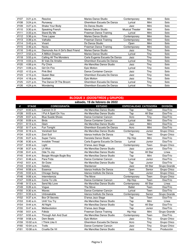| #107 | 3:21 p.m.   | Resolve                           | Maries Dance Studio            | Contemporary           | Mini | Solo |
|------|-------------|-----------------------------------|--------------------------------|------------------------|------|------|
| #108 | 3:24 p.m.   | Runaway                           | Ghemilson Escuela De Danza     | Lyrical                | Mini | Solo |
| #109 | $3:27$ p.m. | Shake Your Body                   | Ds Danza Studio                | Jazz                   | Mini | Solo |
| #110 | 3:30 p.m.   | Speaking French                   | Maries Dance Studio            | <b>Musical Theater</b> | Mini | Solo |
| #111 | 3:33 p.m.   | Stand By Me                       | Freeman Dance Training         | Lyrical                | Mini | Solo |
| #112 | 3:36 p.m.   | <b>Time Lapse</b>                 | <b>Maries Dance Studio</b>     | Contemporary           | Mini | Solo |
| #113 | 3:39 p.m.   | Valhalla                          | Freeman Dance Training         | Contemporary           | Mini | Solo |
| #114 | 3:43 p.m.   | Vivant                            | Ds Danza Studio                | Open                   | Mini | Solo |
| #115 | 3:46 p.m.   | Nocta                             | Freeman Dance Training         | Contemporary           | Mini | Solo |
| #116 | 3:49 p.m.   | Diamonds Are A Girl's Best Friend | Maries Dance Studio            | Jazz                   | Tiny | Solo |
| #117 | 3:52 p.m.   | A Million Dreams                  | Maries Dance Studio            | Lyrical                | Tiny | Solo |
| #118 | $3:55$ p.m. | Calling All The Monsters          | Carla Eugenia Escuela De Danza | Jazz                   | Tiny | Solo |
| #119 | 4:03 p.m.   | El Vals De Amelie                 | Ghemilson Escuela De Danza     | Lyrical                | Tiny | Solo |
| #120 | $4:06$ p.m. | Fly Chick                         | Ale Mancillas Dance Studio     | Jazz                   | Tiny | Solo |
| #121 | 4:09 p.m.   | Girl On Fire                      | Epic Motion                    | Lvrical                | Tiny | Solo |
| #122 | 4:12 p.m.   | Pink Bird                         | Dance Container Cancún         | Jazz                   | Tiny | Solo |
| #123 | 4:15 p.m.   | Queen Bee                         | Ghemilson Escuela De Danza     | Jazz                   | Tiny | Solo |
| #124 | 4:18 p.m.   | Sueltate                          | Epic Motion                    | Jazz                   | Tinv | Solo |
| #125 | 4:21 p.m.   | The Dance Of The Broom            | Ghemilson Escuela De Danza     | Lyrical                | Tiny | Solo |
| #126 | 4:24 p.m.   | Wondering                         | Ghemilson Escuela De Danza     | Lyrical                | Tiny | Solo |

#### **BLOQUE 3 (DÚOS/TRÍOS y GRUPOS)**

|      |              |                         | sábado, 19 de febrero de 2022  |                               |          |                 |
|------|--------------|-------------------------|--------------------------------|-------------------------------|----------|-----------------|
| #    | <b>STAGE</b> | <b>COREOGRAFÍA</b>      | <b>ESTUDIO</b>                 | <b>ESPECIALIDAD CATEGORÍA</b> |          | <b>DIVISIÓN</b> |
| #127 | 8:00a.m.     | Cannon In D             | Ale Mancillas Dance Studio     | Tap                           | Teen     | Dúo/Trío        |
| #128 | 8:03 a.m.    | I Put A Spell On You    | Ale Mancillas Dance Studio     | Tap                           | All Star | Dúo/Trío        |
| #129 | 8:07a.m.     | <b>Blue Suede Shoes</b> | Dance Container Cancún         | Acro                          | Tiny     | Dúo/Trío        |
| #130 | 8:09 a.m.    | <b>Birds</b>            | Dance Container Cancún         | Lyrical                       | Mini     | Dúo/Trío        |
| #131 | 8:13 a.m.    | Glam                    | Ale Mancillas Dance Studio     | Jazz                          | Mini     | Dúo/Trío        |
| #132 | 8:17 a.m.    | Fun Tonight             | Ghemilson Escuela De Danza     | Acro                          | Mini     | Dúo/Trío        |
| #133 | 8:19 a.m.    | Vendredi Soir           | Ale Mancillas Dance Studio     | Contemporary                  | Junior   | Grupo Chico     |
| #134 | 8:23 a.m.    | Zoot Suit               | Idanza Instituto De Danza      | Tap                           | Teen     | Grupo Chico     |
| #135 | $8:27$ a.m.  | <b>Super Twins</b>      | Danziela Dance Studio          | Hip Hop                       | Mini     | Dúo/Trío        |
| #136 | 8:30 a.m.    | Invisible Thread        | Carla Eugenia Escuela De Danza | Lyrical                       | Junior   | Dúo/Trío        |
| #137 | 8:33 a.m.    | Light                   | D'ansa Jazz Stage              | Contemporary                  | Teen     | Grupo Chico     |
| #138 | 8:37 a.m.    | Lit Wick                | Ale Mancillas Dance Studio     | Jazz                          | Junior   | Dúo/Trío        |
| #139 | 8:41 a.m.    | Ode To Joy              | Ale Mancillas Dance Studio     | Tap                           | All Star | Línea           |
| #140 | 8:44 a.m.    | Boogie Woogle Bugle Boy | Ale Mancillas Dance Studio     | Tap                           | Mini     | Dúo/Trío        |
| #141 | $8:48$ a.m.  | Para Frida              | Dance Container Cancún         | Lyrical                       | Junior   | Dúo/Trío        |
| #142 | 8:51 a.m.    | <b>Sir Duke</b>         | Ale Mancillas Dance Studio     | Tap                           | Junior   | Dúo/Trío        |
| #143 | $8:55$ a.m.  | Gatsby                  | Stardancer                     | Jazz                          | All Star | Grupo Grande    |
| #144 | 8:58 a.m.    | Essence                 | Idanza Instituto De Danza      | Open                          | Senior   | Grupo Chico     |
| #145 | 9:02 a.m.    | Chicago Swing           | Idanza Instituto De Danza      | Tap                           | Junior   | Grupo Chico     |
| #146 | 9:06 a.m.    | Intermitencia           | The Move                       | Contemporary                  | Teen     | Grupo Chico     |
| #147 | 9:09 a.m.    | Come To Life            | Dance Container Cancún         | <b>Hip Hop</b>                | Teen     | Dúo/Trío        |
| #148 | $9:12$ a.m.  | Send My Love            | Ale Mancillas Dance Studio     | Contemporary                  | All Star | Línea           |
| #149 | 9:26 a.m.    | Vogue                   | The Move                       | Ballet                        | Teen     | Dúo/Trío        |
| #150 | 9:30 a.m.    | Waves                   | Dance Container Cancún         | Lyrical                       | Teen     | Dúo/Trío        |
| #151 | $9:33$ a.m.  | Unbreakable             | Idanza Instituto De Danza      | Contemporary                  | Senior   | Grupo Grande    |
| #152 | 9:37 a.m.    | <b>Box Of Secrets</b>   | D'ansa Jazz Stage              | Tap                           | Teen     | Dúo/Trío        |
| #153 | 9:40 a.m.    | Until You Try           | Ale Mancillas Dance Studio     | Tap                           | Mini     | Línea           |
| #154 | 9:44 a.m.    | All Night               | Ale Mancillas Dance Studio     | Tap                           | All Star | Dúo/Trío        |
| #155 | $9:47$ a.m.  | Mettavolution           | D'ansa Jazz Stage              | Tap                           | Junior   | Dúo/Trío        |
| #156 | 9:51 a.m.    | Fdkidz                  | Freeman Dance Training         | Hip Hop                       | Mini     | Grupo Grande    |
| #157 | $9:55$ a.m.  | Through Ash And Dust    | Ale Mancillas Dance Studio     | Contemporary                  | Teen     | Dúo/Trío        |
| #158 | 9:58 a.m.    | Dem Beats               | <b>Epic Motion</b>             | Jazz                          | Tiny     | Grupo Chico     |
| #159 | 10:02 a.m.   | I Think Like It         | Ghemilson Escuela De Danza     | Acro                          | Tiny     | Grupo Chico     |
| #160 | 10:04 a.m.   | Trolls                  | Dance Container Cancún         | Jazz                          | Tiny     | Grupo Chico     |
| #161 | $10:08$ a.m. | Cruella De Vil          | Ale Mancillas Dance Studio     | Jazz                          | Tiny     | Producción      |